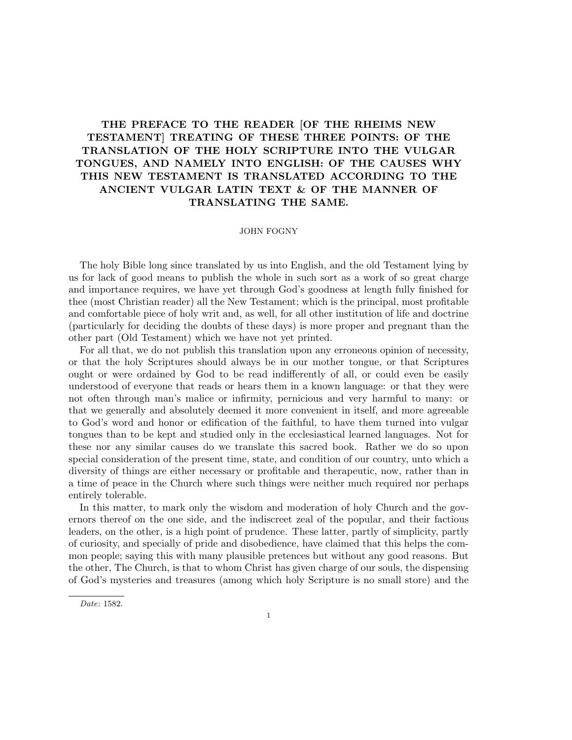# THE PREFACE TO THE READER [OF THE RHEIMS NEW TESTAMENT] TREATING OF THESE THREE POINTS: OF THE TRANSLATION OF THE HOLY SCRIPTURE INTO THE VULGAR TONGUES, AND NAMELY INTO ENGLISH: OF THE CAUSES WHY THIS NEW TESTAMENT IS TRANSLATED ACCORDING TO THE ANCIENT VULGAR LATIN TEXT & OF THE MANNER OF TRANSLATING THE SAME.

## JOHN FOGNY

The holy Bible long since translated by us into English, and the old Testament lying by us for lack of good means to publish the whole in such sort as a work of so great charge and importance requires, we have yet through God's goodness at length fully finished for thee (most Christian reader) all the New Testament; which is the principal, most profitable and comfortable piece of holy writ and, as well, for all other institution of life and doctrine (particularly for deciding the doubts of these days) is more proper and pregnant than the other part (Old Testament) which we have not yet printed.

For all that, we do not publish this translation upon any erroneous opinion of necessity, or that the holy Scriptures should always be in our mother tongue, or that Scriptures ought or were ordained by God to be read indifferently of all, or could even be easily understood of everyone that reads or hears them in a known language: or that they were not often through man's malice or infirmity, pernicious and very harmful to many: or that we generally and absolutely deemed it more convenient in itself, and more agreeable to God's word and honor or edification of the faithful, to have them turned into vulgar tongues than to be kept and studied only in the ecclesiastical learned languages. Not for these nor any similar causes do we translate this sacred book. Rather we do so upon special consideration of the present time, state, and condition of our country, unto which a diversity of things are either necessary or profitable and therapeutic, now, rather than in a time of peace in the Church where such things were neither much required nor perhaps entirely tolerable.

In this matter, to mark only the wisdom and moderation of holy Church and the governors thereof on the one side, and the indiscreet zeal of the popular, and their factious leaders, on the other, is a high point of prudence. These latter, partly of simplicity, partly of curiosity, and specially of pride and disobedience, have claimed that this helps the common people; saying this with many plausible pretences but without any good reasons. But the other, The Church, is that to whom Christ has given charge of our souls, the dispensing of God's mysteries and treasures (among which holy Scripture is no small store) and the

Date: 1582.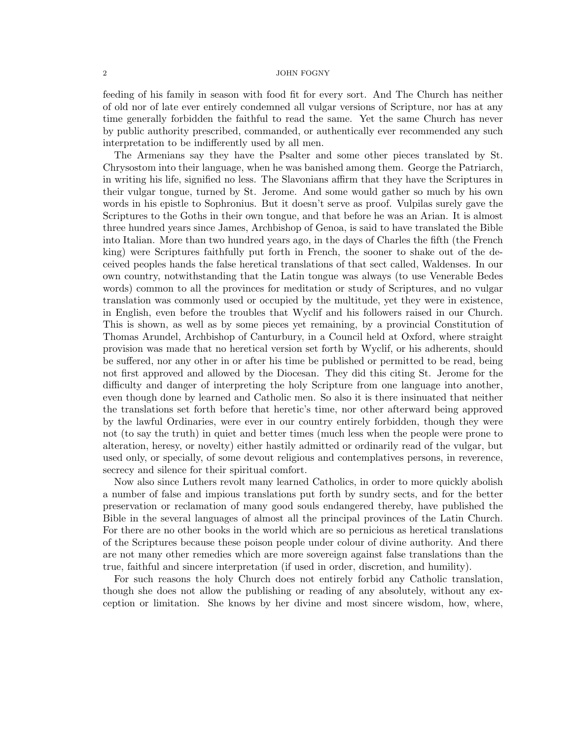feeding of his family in season with food fit for every sort. And The Church has neither of old nor of late ever entirely condemned all vulgar versions of Scripture, nor has at any time generally forbidden the faithful to read the same. Yet the same Church has never by public authority prescribed, commanded, or authentically ever recommended any such interpretation to be indifferently used by all men.

The Armenians say they have the Psalter and some other pieces translated by St. Chrysostom into their language, when he was banished among them. George the Patriarch, in writing his life, signified no less. The Slavonians affirm that they have the Scriptures in their vulgar tongue, turned by St. Jerome. And some would gather so much by his own words in his epistle to Sophronius. But it doesn't serve as proof. Vulpilas surely gave the Scriptures to the Goths in their own tongue, and that before he was an Arian. It is almost three hundred years since James, Archbishop of Genoa, is said to have translated the Bible into Italian. More than two hundred years ago, in the days of Charles the fifth (the French king) were Scriptures faithfully put forth in French, the sooner to shake out of the deceived peoples hands the false heretical translations of that sect called, Waldenses. In our own country, notwithstanding that the Latin tongue was always (to use Venerable Bedes words) common to all the provinces for meditation or study of Scriptures, and no vulgar translation was commonly used or occupied by the multitude, yet they were in existence, in English, even before the troubles that Wyclif and his followers raised in our Church. This is shown, as well as by some pieces yet remaining, by a provincial Constitution of Thomas Arundel, Archbishop of Canturbury, in a Council held at Oxford, where straight provision was made that no heretical version set forth by Wyclif, or his adherents, should be suffered, nor any other in or after his time be published or permitted to be read, being not first approved and allowed by the Diocesan. They did this citing St. Jerome for the difficulty and danger of interpreting the holy Scripture from one language into another, even though done by learned and Catholic men. So also it is there insinuated that neither the translations set forth before that heretic's time, nor other afterward being approved by the lawful Ordinaries, were ever in our country entirely forbidden, though they were not (to say the truth) in quiet and better times (much less when the people were prone to alteration, heresy, or novelty) either hastily admitted or ordinarily read of the vulgar, but used only, or specially, of some devout religious and contemplatives persons, in reverence, secrecy and silence for their spiritual comfort.

Now also since Luthers revolt many learned Catholics, in order to more quickly abolish a number of false and impious translations put forth by sundry sects, and for the better preservation or reclamation of many good souls endangered thereby, have published the Bible in the several languages of almost all the principal provinces of the Latin Church. For there are no other books in the world which are so pernicious as heretical translations of the Scriptures because these poison people under colour of divine authority. And there are not many other remedies which are more sovereign against false translations than the true, faithful and sincere interpretation (if used in order, discretion, and humility).

For such reasons the holy Church does not entirely forbid any Catholic translation, though she does not allow the publishing or reading of any absolutely, without any exception or limitation. She knows by her divine and most sincere wisdom, how, where,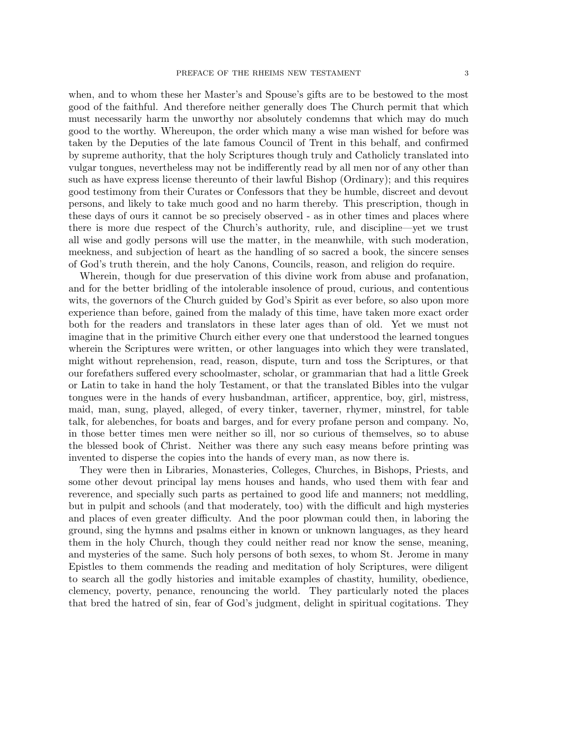when, and to whom these her Master's and Spouse's gifts are to be bestowed to the most good of the faithful. And therefore neither generally does The Church permit that which must necessarily harm the unworthy nor absolutely condemns that which may do much good to the worthy. Whereupon, the order which many a wise man wished for before was taken by the Deputies of the late famous Council of Trent in this behalf, and confirmed by supreme authority, that the holy Scriptures though truly and Catholicly translated into vulgar tongues, nevertheless may not be indifferently read by all men nor of any other than such as have express license thereunto of their lawful Bishop (Ordinary); and this requires good testimony from their Curates or Confessors that they be humble, discreet and devout persons, and likely to take much good and no harm thereby. This prescription, though in these days of ours it cannot be so precisely observed - as in other times and places where there is more due respect of the Church's authority, rule, and discipline—yet we trust all wise and godly persons will use the matter, in the meanwhile, with such moderation, meekness, and subjection of heart as the handling of so sacred a book, the sincere senses of God's truth therein, and the holy Canons, Councils, reason, and religion do require.

Wherein, though for due preservation of this divine work from abuse and profanation, and for the better bridling of the intolerable insolence of proud, curious, and contentious wits, the governors of the Church guided by God's Spirit as ever before, so also upon more experience than before, gained from the malady of this time, have taken more exact order both for the readers and translators in these later ages than of old. Yet we must not imagine that in the primitive Church either every one that understood the learned tongues wherein the Scriptures were written, or other languages into which they were translated, might without reprehension, read, reason, dispute, turn and toss the Scriptures, or that our forefathers suffered every schoolmaster, scholar, or grammarian that had a little Greek or Latin to take in hand the holy Testament, or that the translated Bibles into the vulgar tongues were in the hands of every husbandman, artificer, apprentice, boy, girl, mistress, maid, man, sung, played, alleged, of every tinker, taverner, rhymer, minstrel, for table talk, for alebenches, for boats and barges, and for every profane person and company. No, in those better times men were neither so ill, nor so curious of themselves, so to abuse the blessed book of Christ. Neither was there any such easy means before printing was invented to disperse the copies into the hands of every man, as now there is.

They were then in Libraries, Monasteries, Colleges, Churches, in Bishops, Priests, and some other devout principal lay mens houses and hands, who used them with fear and reverence, and specially such parts as pertained to good life and manners; not meddling, but in pulpit and schools (and that moderately, too) with the difficult and high mysteries and places of even greater difficulty. And the poor plowman could then, in laboring the ground, sing the hymns and psalms either in known or unknown languages, as they heard them in the holy Church, though they could neither read nor know the sense, meaning, and mysteries of the same. Such holy persons of both sexes, to whom St. Jerome in many Epistles to them commends the reading and meditation of holy Scriptures, were diligent to search all the godly histories and imitable examples of chastity, humility, obedience, clemency, poverty, penance, renouncing the world. They particularly noted the places that bred the hatred of sin, fear of God's judgment, delight in spiritual cogitations. They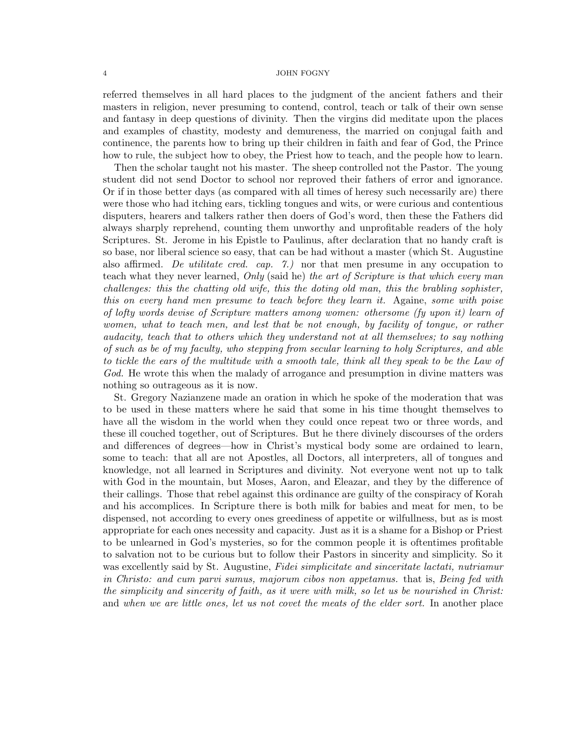referred themselves in all hard places to the judgment of the ancient fathers and their masters in religion, never presuming to contend, control, teach or talk of their own sense and fantasy in deep questions of divinity. Then the virgins did meditate upon the places and examples of chastity, modesty and demureness, the married on conjugal faith and continence, the parents how to bring up their children in faith and fear of God, the Prince how to rule, the subject how to obey, the Priest how to teach, and the people how to learn.

Then the scholar taught not his master. The sheep controlled not the Pastor. The young student did not send Doctor to school nor reproved their fathers of error and ignorance. Or if in those better days (as compared with all times of heresy such necessarily are) there were those who had itching ears, tickling tongues and wits, or were curious and contentious disputers, hearers and talkers rather then doers of God's word, then these the Fathers did always sharply reprehend, counting them unworthy and unprofitable readers of the holy Scriptures. St. Jerome in his Epistle to Paulinus, after declaration that no handy craft is so base, nor liberal science so easy, that can be had without a master (which St. Augustine also affirmed. De utilitate cred. cap.  $\tilde{r}$ . nor that men presume in any occupation to teach what they never learned, Only (said he) the art of Scripture is that which every man challenges: this the chatting old wife, this the doting old man, this the brabling sophister, this on every hand men presume to teach before they learn it. Againe, some with poise of lofty words devise of Scripture matters among women: othersome (fy upon it) learn of women, what to teach men, and lest that be not enough, by facility of tongue, or rather audacity, teach that to others which they understand not at all themselves; to say nothing of such as be of my faculty, who stepping from secular learning to holy Scriptures, and able to tickle the ears of the multitude with a smooth tale, think all they speak to be the Law of God. He wrote this when the malady of arrogance and presumption in divine matters was nothing so outrageous as it is now.

St. Gregory Nazianzene made an oration in which he spoke of the moderation that was to be used in these matters where he said that some in his time thought themselves to have all the wisdom in the world when they could once repeat two or three words, and these ill couched together, out of Scriptures. But he there divinely discourses of the orders and differences of degrees—how in Christ's mystical body some are ordained to learn, some to teach: that all are not Apostles, all Doctors, all interpreters, all of tongues and knowledge, not all learned in Scriptures and divinity. Not everyone went not up to talk with God in the mountain, but Moses, Aaron, and Eleazar, and they by the difference of their callings. Those that rebel against this ordinance are guilty of the conspiracy of Korah and his accomplices. In Scripture there is both milk for babies and meat for men, to be dispensed, not according to every ones greediness of appetite or wilfullness, but as is most appropriate for each ones necessity and capacity. Just as it is a shame for a Bishop or Priest to be unlearned in God's mysteries, so for the common people it is oftentimes profitable to salvation not to be curious but to follow their Pastors in sincerity and simplicity. So it was excellently said by St. Augustine, Fidei simplicitate and sinceritate lactati, nutriamur in Christo: and cum parvi sumus, majorum cibos non appetamus. that is, Being fed with the simplicity and sincerity of faith, as it were with milk, so let us be nourished in Christ: and when we are little ones, let us not covet the meats of the elder sort. In another place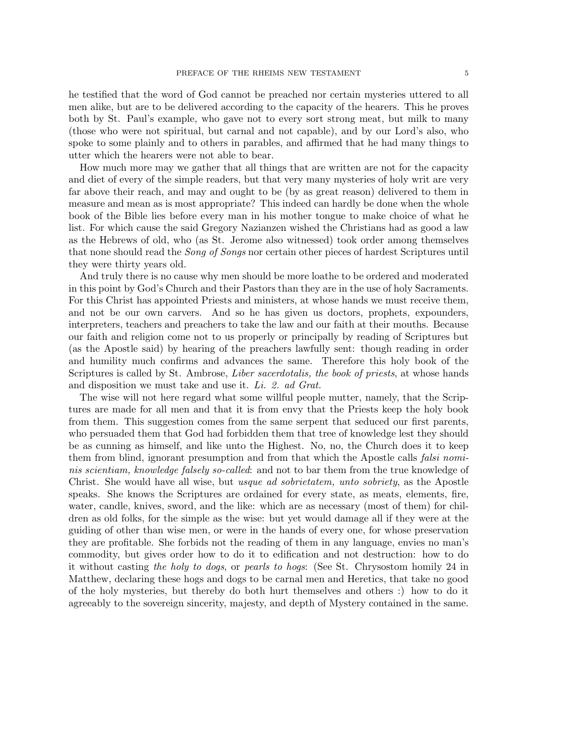he testified that the word of God cannot be preached nor certain mysteries uttered to all men alike, but are to be delivered according to the capacity of the hearers. This he proves both by St. Paul's example, who gave not to every sort strong meat, but milk to many (those who were not spiritual, but carnal and not capable), and by our Lord's also, who spoke to some plainly and to others in parables, and affirmed that he had many things to utter which the hearers were not able to bear.

How much more may we gather that all things that are written are not for the capacity and diet of every of the simple readers, but that very many mysteries of holy writ are very far above their reach, and may and ought to be (by as great reason) delivered to them in measure and mean as is most appropriate? This indeed can hardly be done when the whole book of the Bible lies before every man in his mother tongue to make choice of what he list. For which cause the said Gregory Nazianzen wished the Christians had as good a law as the Hebrews of old, who (as St. Jerome also witnessed) took order among themselves that none should read the *Song of Songs* nor certain other pieces of hardest Scriptures until they were thirty years old.

And truly there is no cause why men should be more loathe to be ordered and moderated in this point by God's Church and their Pastors than they are in the use of holy Sacraments. For this Christ has appointed Priests and ministers, at whose hands we must receive them, and not be our own carvers. And so he has given us doctors, prophets, expounders, interpreters, teachers and preachers to take the law and our faith at their mouths. Because our faith and religion come not to us properly or principally by reading of Scriptures but (as the Apostle said) by hearing of the preachers lawfully sent: though reading in order and humility much confirms and advances the same. Therefore this holy book of the Scriptures is called by St. Ambrose, *Liber sacerdotalis, the book of priests*, at whose hands and disposition we must take and use it. Li. 2. ad Grat.

The wise will not here regard what some willful people mutter, namely, that the Scriptures are made for all men and that it is from envy that the Priests keep the holy book from them. This suggestion comes from the same serpent that seduced our first parents, who persuaded them that God had forbidden them that tree of knowledge lest they should be as cunning as himself, and like unto the Highest. No, no, the Church does it to keep them from blind, ignorant presumption and from that which the Apostle calls *falsi nomi*nis scientiam, knowledge falsely so-called: and not to bar them from the true knowledge of Christ. She would have all wise, but usque ad sobrietatem, unto sobriety, as the Apostle speaks. She knows the Scriptures are ordained for every state, as meats, elements, fire, water, candle, knives, sword, and the like: which are as necessary (most of them) for children as old folks, for the simple as the wise: but yet would damage all if they were at the guiding of other than wise men, or were in the hands of every one, for whose preservation they are profitable. She forbids not the reading of them in any language, envies no man's commodity, but gives order how to do it to edification and not destruction: how to do it without casting the holy to dogs, or pearls to hogs: (See St. Chrysostom homily 24 in Matthew, declaring these hogs and dogs to be carnal men and Heretics, that take no good of the holy mysteries, but thereby do both hurt themselves and others :) how to do it agreeably to the sovereign sincerity, majesty, and depth of Mystery contained in the same.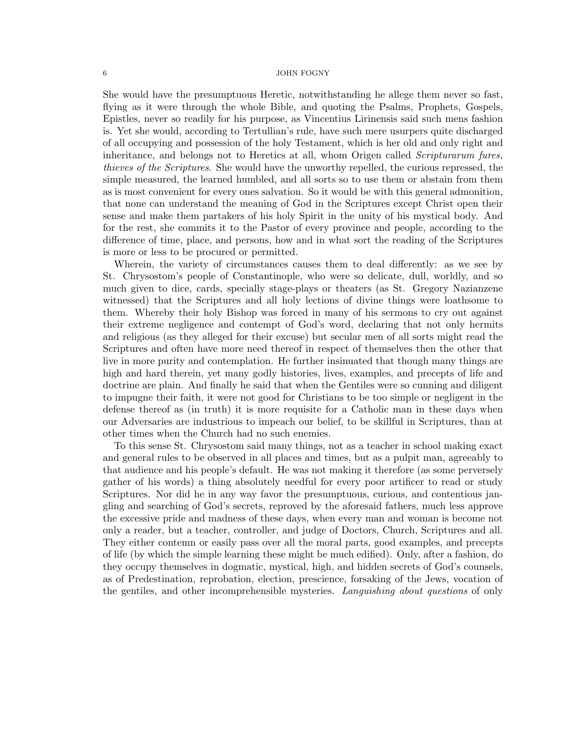She would have the presumptuous Heretic, notwithstanding he allege them never so fast, flying as it were through the whole Bible, and quoting the Psalms, Prophets, Gospels, Epistles, never so readily for his purpose, as Vincentius Lirinensis said such mens fashion is. Yet she would, according to Tertullian's rule, have such mere usurpers quite discharged of all occupying and possession of the holy Testament, which is her old and only right and inheritance, and belongs not to Heretics at all, whom Origen called *Scripturarum fures*, thieves of the Scriptures. She would have the unworthy repelled, the curious repressed, the simple measured, the learned humbled, and all sorts so to use them or abstain from them as is most convenient for every ones salvation. So it would be with this general admonition, that none can understand the meaning of God in the Scriptures except Christ open their sense and make them partakers of his holy Spirit in the unity of his mystical body. And for the rest, she commits it to the Pastor of every province and people, according to the difference of time, place, and persons, how and in what sort the reading of the Scriptures is more or less to be procured or permitted.

Wherein, the variety of circumstances causes them to deal differently: as we see by St. Chrysostom's people of Constantinople, who were so delicate, dull, worldly, and so much given to dice, cards, specially stage-plays or theaters (as St. Gregory Nazianzene witnessed) that the Scriptures and all holy lections of divine things were loathsome to them. Whereby their holy Bishop was forced in many of his sermons to cry out against their extreme negligence and contempt of God's word, declaring that not only hermits and religious (as they alleged for their excuse) but secular men of all sorts might read the Scriptures and often have more need thereof in respect of themselves then the other that live in more purity and contemplation. He further insinuated that though many things are high and hard therein, yet many godly histories, lives, examples, and precepts of life and doctrine are plain. And finally he said that when the Gentiles were so cunning and diligent to impugne their faith, it were not good for Christians to be too simple or negligent in the defense thereof as (in truth) it is more requisite for a Catholic man in these days when our Adversaries are industrious to impeach our belief, to be skillful in Scriptures, than at other times when the Church had no such enemies.

To this sense St. Chrysostom said many things, not as a teacher in school making exact and general rules to be observed in all places and times, but as a pulpit man, agreeably to that audience and his people's default. He was not making it therefore (as some perversely gather of his words) a thing absolutely needful for every poor artificer to read or study Scriptures. Nor did he in any way favor the presumptuous, curious, and contentious jangling and searching of God's secrets, reproved by the aforesaid fathers, much less approve the excessive pride and madness of these days, when every man and woman is become not only a reader, but a teacher, controller, and judge of Doctors, Church, Scriptures and all. They either contemn or easily pass over all the moral parts, good examples, and precepts of life (by which the simple learning these might be much edified). Only, after a fashion, do they occupy themselves in dogmatic, mystical, high, and hidden secrets of God's counsels, as of Predestination, reprobation, election, prescience, forsaking of the Jews, vocation of the gentiles, and other incomprehensible mysteries. Languishing about questions of only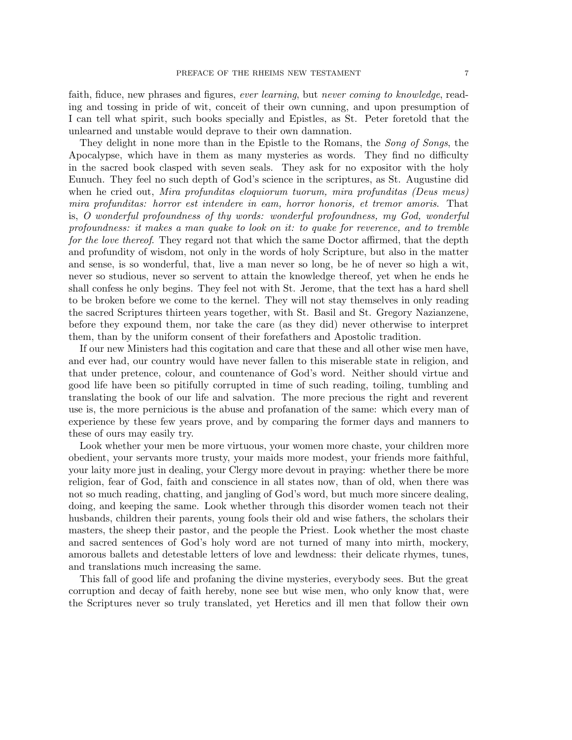faith, fiduce, new phrases and figures, ever learning, but never coming to knowledge, reading and tossing in pride of wit, conceit of their own cunning, and upon presumption of I can tell what spirit, such books specially and Epistles, as St. Peter foretold that the unlearned and unstable would deprave to their own damnation.

They delight in none more than in the Epistle to the Romans, the Song of Songs, the Apocalypse, which have in them as many mysteries as words. They find no difficulty in the sacred book clasped with seven seals. They ask for no expositor with the holy Eunuch. They feel no such depth of God's science in the scriptures, as St. Augustine did when he cried out, *Mira profunditas eloquiorum tuorum, mira profunditas (Deus meus)* mira profunditas: horror est intendere in eam, horror honoris, et tremor amoris. That is, O wonderful profoundness of thy words: wonderful profoundness, my God, wonderful profoundness: it makes a man quake to look on it: to quake for reverence, and to tremble for the love thereof. They regard not that which the same Doctor affirmed, that the depth and profundity of wisdom, not only in the words of holy Scripture, but also in the matter and sense, is so wonderful, that, live a man never so long, be he of never so high a wit, never so studious, never so servent to attain the knowledge thereof, yet when he ends he shall confess he only begins. They feel not with St. Jerome, that the text has a hard shell to be broken before we come to the kernel. They will not stay themselves in only reading the sacred Scriptures thirteen years together, with St. Basil and St. Gregory Nazianzene, before they expound them, nor take the care (as they did) never otherwise to interpret them, than by the uniform consent of their forefathers and Apostolic tradition.

If our new Ministers had this cogitation and care that these and all other wise men have, and ever had, our country would have never fallen to this miserable state in religion, and that under pretence, colour, and countenance of God's word. Neither should virtue and good life have been so pitifully corrupted in time of such reading, toiling, tumbling and translating the book of our life and salvation. The more precious the right and reverent use is, the more pernicious is the abuse and profanation of the same: which every man of experience by these few years prove, and by comparing the former days and manners to these of ours may easily try.

Look whether your men be more virtuous, your women more chaste, your children more obedient, your servants more trusty, your maids more modest, your friends more faithful, your laity more just in dealing, your Clergy more devout in praying: whether there be more religion, fear of God, faith and conscience in all states now, than of old, when there was not so much reading, chatting, and jangling of God's word, but much more sincere dealing, doing, and keeping the same. Look whether through this disorder women teach not their husbands, children their parents, young fools their old and wise fathers, the scholars their masters, the sheep their pastor, and the people the Priest. Look whether the most chaste and sacred sentences of God's holy word are not turned of many into mirth, mockery, amorous ballets and detestable letters of love and lewdness: their delicate rhymes, tunes, and translations much increasing the same.

This fall of good life and profaning the divine mysteries, everybody sees. But the great corruption and decay of faith hereby, none see but wise men, who only know that, were the Scriptures never so truly translated, yet Heretics and ill men that follow their own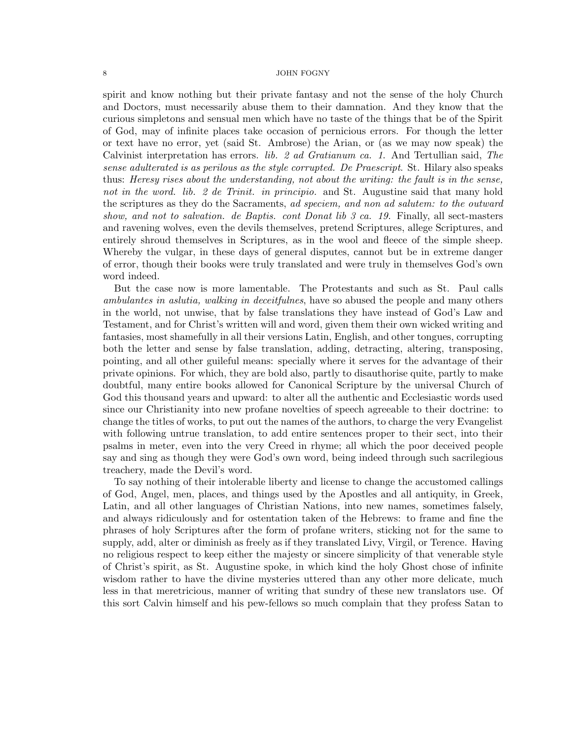spirit and know nothing but their private fantasy and not the sense of the holy Church and Doctors, must necessarily abuse them to their damnation. And they know that the curious simpletons and sensual men which have no taste of the things that be of the Spirit of God, may of infinite places take occasion of pernicious errors. For though the letter or text have no error, yet (said St. Ambrose) the Arian, or (as we may now speak) the Calvinist interpretation has errors. lib. 2 ad Gratianum ca. 1. And Tertullian said, The sense adulterated is as perilous as the style corrupted. De Praescript. St. Hilary also speaks thus: Heresy rises about the understanding, not about the writing: the fault is in the sense, not in the word. lib. 2 de Trinit. in principio. and St. Augustine said that many hold the scriptures as they do the Sacraments, ad speciem, and non ad salutem: to the outward show, and not to salvation. de Baptis. cont Donat lib 3 ca. 19. Finally, all sect-masters and ravening wolves, even the devils themselves, pretend Scriptures, allege Scriptures, and entirely shroud themselves in Scriptures, as in the wool and fleece of the simple sheep. Whereby the vulgar, in these days of general disputes, cannot but be in extreme danger of error, though their books were truly translated and were truly in themselves God's own word indeed.

But the case now is more lamentable. The Protestants and such as St. Paul calls ambulantes in aslutia, walking in deceitfulnes, have so abused the people and many others in the world, not unwise, that by false translations they have instead of God's Law and Testament, and for Christ's written will and word, given them their own wicked writing and fantasies, most shamefully in all their versions Latin, English, and other tongues, corrupting both the letter and sense by false translation, adding, detracting, altering, transposing, pointing, and all other guileful means: specially where it serves for the advantage of their private opinions. For which, they are bold also, partly to disauthorise quite, partly to make doubtful, many entire books allowed for Canonical Scripture by the universal Church of God this thousand years and upward: to alter all the authentic and Ecclesiastic words used since our Christianity into new profane novelties of speech agreeable to their doctrine: to change the titles of works, to put out the names of the authors, to charge the very Evangelist with following untrue translation, to add entire sentences proper to their sect, into their psalms in meter, even into the very Creed in rhyme; all which the poor deceived people say and sing as though they were God's own word, being indeed through such sacrilegious treachery, made the Devil's word.

To say nothing of their intolerable liberty and license to change the accustomed callings of God, Angel, men, places, and things used by the Apostles and all antiquity, in Greek, Latin, and all other languages of Christian Nations, into new names, sometimes falsely, and always ridiculously and for ostentation taken of the Hebrews: to frame and fine the phrases of holy Scriptures after the form of profane writers, sticking not for the same to supply, add, alter or diminish as freely as if they translated Livy, Virgil, or Terence. Having no religious respect to keep either the majesty or sincere simplicity of that venerable style of Christ's spirit, as St. Augustine spoke, in which kind the holy Ghost chose of infinite wisdom rather to have the divine mysteries uttered than any other more delicate, much less in that meretricious, manner of writing that sundry of these new translators use. Of this sort Calvin himself and his pew-fellows so much complain that they profess Satan to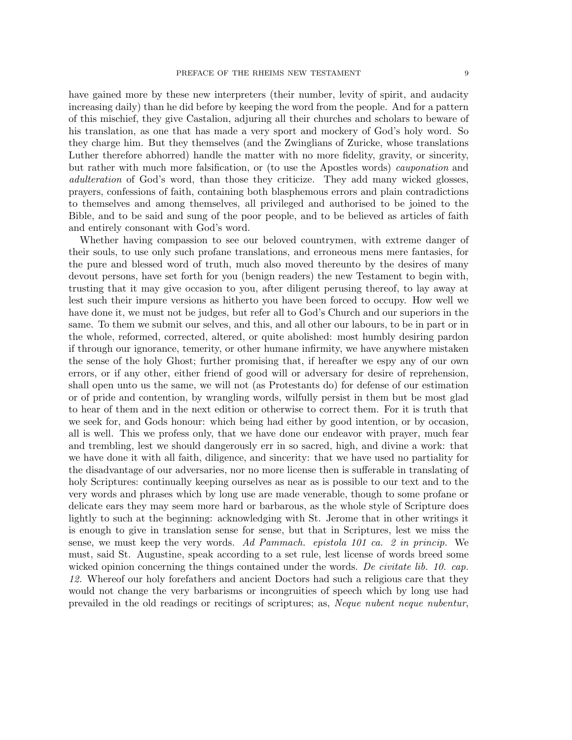have gained more by these new interpreters (their number, levity of spirit, and audacity increasing daily) than he did before by keeping the word from the people. And for a pattern of this mischief, they give Castalion, adjuring all their churches and scholars to beware of his translation, as one that has made a very sport and mockery of God's holy word. So they charge him. But they themselves (and the Zwinglians of Zuricke, whose translations Luther therefore abhorred) handle the matter with no more fidelity, gravity, or sincerity, but rather with much more falsification, or (to use the Apostles words) cauponation and adulteration of God's word, than those they criticize. They add many wicked glosses, prayers, confessions of faith, containing both blasphemous errors and plain contradictions to themselves and among themselves, all privileged and authorised to be joined to the Bible, and to be said and sung of the poor people, and to be believed as articles of faith and entirely consonant with God's word.

Whether having compassion to see our beloved countrymen, with extreme danger of their souls, to use only such profane translations, and erroneous mens mere fantasies, for the pure and blessed word of truth, much also moved thereunto by the desires of many devout persons, have set forth for you (benign readers) the new Testament to begin with, trusting that it may give occasion to you, after diligent perusing thereof, to lay away at lest such their impure versions as hitherto you have been forced to occupy. How well we have done it, we must not be judges, but refer all to God's Church and our superiors in the same. To them we submit our selves, and this, and all other our labours, to be in part or in the whole, reformed, corrected, altered, or quite abolished: most humbly desiring pardon if through our ignorance, temerity, or other humane infirmity, we have anywhere mistaken the sense of the holy Ghost; further promising that, if hereafter we espy any of our own errors, or if any other, either friend of good will or adversary for desire of reprehension, shall open unto us the same, we will not (as Protestants do) for defense of our estimation or of pride and contention, by wrangling words, wilfully persist in them but be most glad to hear of them and in the next edition or otherwise to correct them. For it is truth that we seek for, and Gods honour: which being had either by good intention, or by occasion, all is well. This we profess only, that we have done our endeavor with prayer, much fear and trembling, lest we should dangerously err in so sacred, high, and divine a work: that we have done it with all faith, diligence, and sincerity: that we have used no partiality for the disadvantage of our adversaries, nor no more license then is sufferable in translating of holy Scriptures: continually keeping ourselves as near as is possible to our text and to the very words and phrases which by long use are made venerable, though to some profane or delicate ears they may seem more hard or barbarous, as the whole style of Scripture does lightly to such at the beginning: acknowledging with St. Jerome that in other writings it is enough to give in translation sense for sense, but that in Scriptures, lest we miss the sense, we must keep the very words. Ad Pammach. epistola 101 ca. 2 in princip. We must, said St. Augustine, speak according to a set rule, lest license of words breed some wicked opinion concerning the things contained under the words. De civitate lib. 10. cap. 12. Whereof our holy forefathers and ancient Doctors had such a religious care that they would not change the very barbarisms or incongruities of speech which by long use had prevailed in the old readings or recitings of scriptures; as, Neque nubent neque nubentur,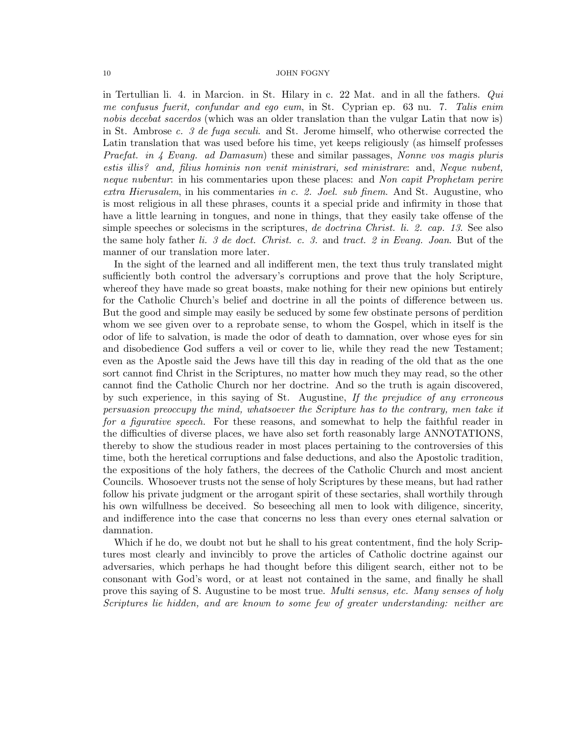in Tertullian li. 4. in Marcion. in St. Hilary in c. 22 Mat. and in all the fathers. Qui me confusus fuerit, confundar and ego eum, in St. Cyprian ep. 63 nu. 7. Talis enim nobis decebat sacerdos (which was an older translation than the vulgar Latin that now is) in St. Ambrose c. 3 de fuga seculi. and St. Jerome himself, who otherwise corrected the Latin translation that was used before his time, yet keeps religiously (as himself professes Praefat. in 4 Evang. ad Damasum) these and similar passages, Nonne vos magis pluris estis illis? and, filius hominis non venit ministrari, sed ministrare: and, Neque nubent, neque nubentur: in his commentaries upon these places: and Non capit Prophetam perire extra Hierusalem, in his commentaries in c. 2. Joel. sub finem. And St. Augustine, who is most religious in all these phrases, counts it a special pride and infirmity in those that have a little learning in tongues, and none in things, that they easily take offense of the simple speeches or solecisms in the scriptures, de doctrina Christ. li. 2. cap. 13. See also the same holy father li. 3 de doct. Christ. c. 3. and tract. 2 in Evang. Joan. But of the manner of our translation more later.

In the sight of the learned and all indifferent men, the text thus truly translated might sufficiently both control the adversary's corruptions and prove that the holy Scripture, whereof they have made so great boasts, make nothing for their new opinions but entirely for the Catholic Church's belief and doctrine in all the points of difference between us. But the good and simple may easily be seduced by some few obstinate persons of perdition whom we see given over to a reprobate sense, to whom the Gospel, which in itself is the odor of life to salvation, is made the odor of death to damnation, over whose eyes for sin and disobedience God suffers a veil or cover to lie, while they read the new Testament; even as the Apostle said the Jews have till this day in reading of the old that as the one sort cannot find Christ in the Scriptures, no matter how much they may read, so the other cannot find the Catholic Church nor her doctrine. And so the truth is again discovered, by such experience, in this saying of St. Augustine, If the prejudice of any erroneous persuasion preoccupy the mind, whatsoever the Scripture has to the contrary, men take it for a figurative speech. For these reasons, and somewhat to help the faithful reader in the difficulties of diverse places, we have also set forth reasonably large ANNOTATIONS, thereby to show the studious reader in most places pertaining to the controversies of this time, both the heretical corruptions and false deductions, and also the Apostolic tradition, the expositions of the holy fathers, the decrees of the Catholic Church and most ancient Councils. Whosoever trusts not the sense of holy Scriptures by these means, but had rather follow his private judgment or the arrogant spirit of these sectaries, shall worthily through his own wilfullness be deceived. So beseeching all men to look with diligence, sincerity, and indifference into the case that concerns no less than every ones eternal salvation or damnation.

Which if he do, we doubt not but he shall to his great contentment, find the holy Scriptures most clearly and invincibly to prove the articles of Catholic doctrine against our adversaries, which perhaps he had thought before this diligent search, either not to be consonant with God's word, or at least not contained in the same, and finally he shall prove this saying of S. Augustine to be most true. Multi sensus, etc. Many senses of holy Scriptures lie hidden, and are known to some few of greater understanding: neither are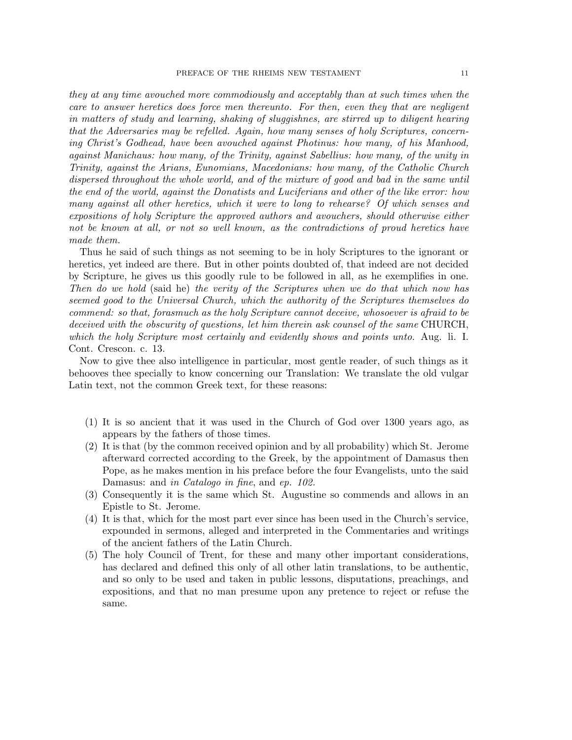they at any time avouched more commodiously and acceptably than at such times when the care to answer heretics does force men thereunto. For then, even they that are negligent in matters of study and learning, shaking of sluggishnes, are stirred up to diligent hearing that the Adversaries may be refelled. Again, how many senses of holy Scriptures, concerning Christ's Godhead, have been avouched against Photinus: how many, of his Manhood, against Manichaus: how many, of the Trinity, against Sabellius: how many, of the unity in Trinity, against the Arians, Eunomians, Macedonians: how many, of the Catholic Church dispersed throughout the whole world, and of the mixture of good and bad in the same until the end of the world, against the Donatists and Luciferians and other of the like error: how many against all other heretics, which it were to long to rehearse? Of which senses and expositions of holy Scripture the approved authors and avouchers, should otherwise either not be known at all, or not so well known, as the contradictions of proud heretics have made them.

Thus he said of such things as not seeming to be in holy Scriptures to the ignorant or heretics, yet indeed are there. But in other points doubted of, that indeed are not decided by Scripture, he gives us this goodly rule to be followed in all, as he exemplifies in one. Then do we hold (said he) the verity of the Scriptures when we do that which now has seemed good to the Universal Church, which the authority of the Scriptures themselves do commend: so that, forasmuch as the holy Scripture cannot deceive, whosoever is afraid to be deceived with the obscurity of questions, let him therein ask counsel of the same CHURCH, which the holy Scripture most certainly and evidently shows and points unto. Aug. li. I. Cont. Crescon. c. 13.

Now to give thee also intelligence in particular, most gentle reader, of such things as it behooves thee specially to know concerning our Translation: We translate the old vulgar Latin text, not the common Greek text, for these reasons:

- (1) It is so ancient that it was used in the Church of God over 1300 years ago, as appears by the fathers of those times.
- (2) It is that (by the common received opinion and by all probability) which St. Jerome afterward corrected according to the Greek, by the appointment of Damasus then Pope, as he makes mention in his preface before the four Evangelists, unto the said Damasus: and *in Catalogo in fine*, and *ep.* 102.
- (3) Consequently it is the same which St. Augustine so commends and allows in an Epistle to St. Jerome.
- (4) It is that, which for the most part ever since has been used in the Church's service, expounded in sermons, alleged and interpreted in the Commentaries and writings of the ancient fathers of the Latin Church.
- (5) The holy Council of Trent, for these and many other important considerations, has declared and defined this only of all other latin translations, to be authentic, and so only to be used and taken in public lessons, disputations, preachings, and expositions, and that no man presume upon any pretence to reject or refuse the same.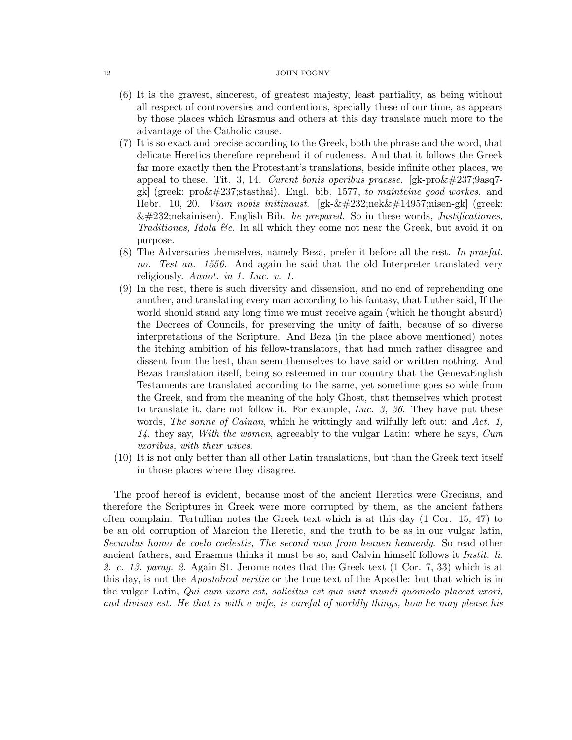- (6) It is the gravest, sincerest, of greatest majesty, least partiality, as being without all respect of controversies and contentions, specially these of our time, as appears by those places which Erasmus and others at this day translate much more to the advantage of the Catholic cause.
- (7) It is so exact and precise according to the Greek, both the phrase and the word, that delicate Heretics therefore reprehend it of rudeness. And that it follows the Greek far more exactly then the Protestant's translations, beside infinite other places, we appeal to these. Tit. 3, 14. Curent bonis operibus praesse.  $[gk-pro\&\#237;9asq7$ gk] (greek:  $\text{pro\&}\#237$ ; stasthai). Engl. bib. 1577, to mainteine good workes. and Hebr. 10, 20. *Viam nobis initinaust.*  $g\&\&\#232;\text{nek}\&\#14957;\text{nisen-gk}$  (greek:  $\&\#232$ ;nekainisen). English Bib. he prepared. So in these words, Justificationes, Traditiones, Idola &c. In all which they come not near the Greek, but avoid it on purpose.
- (8) The Adversaries themselves, namely Beza, prefer it before all the rest. In praefat. no. Test an. 1556. And again he said that the old Interpreter translated very religiously. Annot. in 1. Luc. v. 1.
- (9) In the rest, there is such diversity and dissension, and no end of reprehending one another, and translating every man according to his fantasy, that Luther said, If the world should stand any long time we must receive again (which he thought absurd) the Decrees of Councils, for preserving the unity of faith, because of so diverse interpretations of the Scripture. And Beza (in the place above mentioned) notes the itching ambition of his fellow-translators, that had much rather disagree and dissent from the best, than seem themselves to have said or written nothing. And Bezas translation itself, being so esteemed in our country that the GenevaEnglish Testaments are translated according to the same, yet sometime goes so wide from the Greek, and from the meaning of the holy Ghost, that themselves which protest to translate it, dare not follow it. For example, Luc. 3, 36. They have put these words, The sonne of Cainan, which he wittingly and wilfully left out: and Act. 1, 14. they say, With the women, agreeably to the vulgar Latin: where he says, Cum vxoribus, with their wives.
- (10) It is not only better than all other Latin translations, but than the Greek text itself in those places where they disagree.

The proof hereof is evident, because most of the ancient Heretics were Grecians, and therefore the Scriptures in Greek were more corrupted by them, as the ancient fathers often complain. Tertullian notes the Greek text which is at this day (1 Cor. 15, 47) to be an old corruption of Marcion the Heretic, and the truth to be as in our vulgar latin, Secundus homo de coelo coelestis, The second man from heauen heauenly. So read other ancient fathers, and Erasmus thinks it must be so, and Calvin himself follows it Instit. li. 2. c. 13. parag. 2. Again St. Jerome notes that the Greek text (1 Cor. 7, 33) which is at this day, is not the *Apostolical veritie* or the true text of the Apostle: but that which is in the vulgar Latin, Qui cum vxore est, solicitus est qua sunt mundi quomodo placeat vxori, and divisus est. He that is with a wife, is careful of worldly things, how he may please his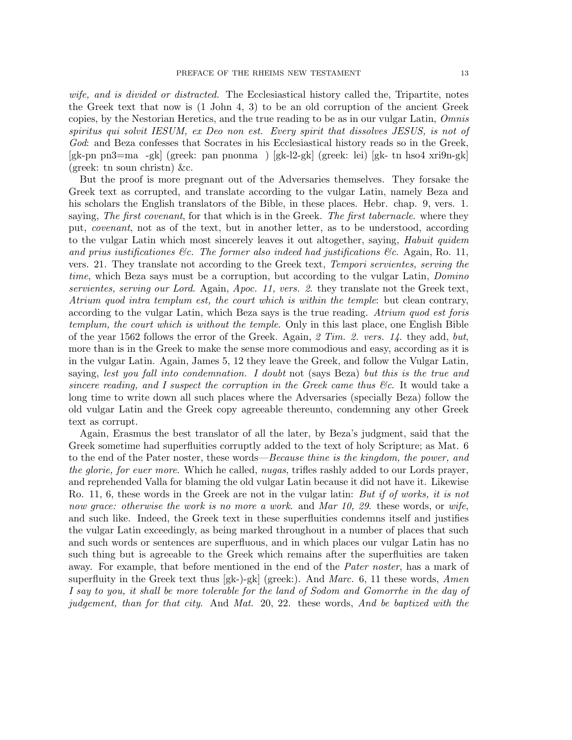wife, and is divided or distracted. The Ecclesiastical history called the, Tripartite, notes the Greek text that now is (1 John 4, 3) to be an old corruption of the ancient Greek copies, by the Nestorian Heretics, and the true reading to be as in our vulgar Latin, Omnis spiritus qui solvit IESUM, ex Deo non est. Every spirit that dissolves JESUS, is not of God: and Beza confesses that Socrates in his Ecclesiastical history reads so in the Greek, [gk-pn pn3=ma -gk] (greek: pan pnonma ) [gk-l2-gk] (greek: lei) [gk- tn hso4 xri9n-gk] (greek: tn soun christn) &c.

But the proof is more pregnant out of the Adversaries themselves. They forsake the Greek text as corrupted, and translate according to the vulgar Latin, namely Beza and his scholars the English translators of the Bible, in these places. Hebr. chap. 9, vers. 1. saying, The first covenant, for that which is in the Greek. The first tabernacle. where they put, covenant, not as of the text, but in another letter, as to be understood, according to the vulgar Latin which most sincerely leaves it out altogether, saying, *Habuit quidem* and prius iustificationes  $\mathcal{C}_c$ . The former also indeed had justifications  $\mathcal{C}_c$ . Again, Ro. 11, vers. 21. They translate not according to the Greek text, *Tempori servientes, serving the* time, which Beza says must be a corruption, but according to the vulgar Latin, *Domino* servientes, serving our Lord. Again, Apoc. 11, vers. 2. they translate not the Greek text, Atrium quod intra templum est, the court which is within the temple: but clean contrary, according to the vulgar Latin, which Beza says is the true reading. Atrium quod est foris templum, the court which is without the temple. Only in this last place, one English Bible of the year 1562 follows the error of the Greek. Again,  $\mathcal{Z}$  Tim.  $\mathcal{Z}$ . vers. 14. they add, but, more than is in the Greek to make the sense more commodious and easy, according as it is in the vulgar Latin. Again, James 5, 12 they leave the Greek, and follow the Vulgar Latin, saying, lest you fall into condemnation. I doubt not (says Beza) but this is the true and sincere reading, and I suspect the corruption in the Greek came thus  $\mathcal{C}\epsilon$ . It would take a long time to write down all such places where the Adversaries (specially Beza) follow the old vulgar Latin and the Greek copy agreeable thereunto, condemning any other Greek text as corrupt.

Again, Erasmus the best translator of all the later, by Beza's judgment, said that the Greek sometime had superfluities corruptly added to the text of holy Scripture; as Mat. 6 to the end of the Pater noster, these words—*Because thine is the kingdom, the power, and* the glorie, for euer more. Which he called, nugas, trifles rashly added to our Lords prayer, and reprehended Valla for blaming the old vulgar Latin because it did not have it. Likewise Ro. 11, 6, these words in the Greek are not in the vulgar latin: But if of works, it is not now grace: otherwise the work is no more a work. and Mar 10, 29. these words, or wife, and such like. Indeed, the Greek text in these superfluities condemns itself and justifies the vulgar Latin exceedingly, as being marked throughout in a number of places that such and such words or sentences are superfluous, and in which places our vulgar Latin has no such thing but is agreeable to the Greek which remains after the superfluities are taken away. For example, that before mentioned in the end of the *Pater noster*, has a mark of superfluity in the Greek text thus  $[gk-)$ -gk (greek:). And Marc. 6, 11 these words, Amen I say to you, it shall be more tolerable for the land of Sodom and Gomorrhe in the day of judgement, than for that city. And Mat. 20, 22. these words, And be baptized with the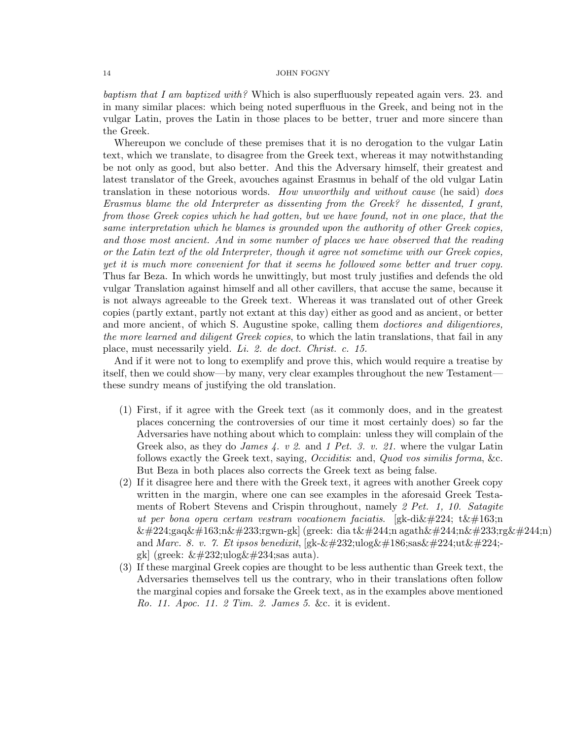baptism that I am baptized with? Which is also superfluously repeated again vers. 23. and in many similar places: which being noted superfluous in the Greek, and being not in the vulgar Latin, proves the Latin in those places to be better, truer and more sincere than the Greek.

Whereupon we conclude of these premises that it is no derogation to the vulgar Latin text, which we translate, to disagree from the Greek text, whereas it may notwithstanding be not only as good, but also better. And this the Adversary himself, their greatest and latest translator of the Greek, avouches against Erasmus in behalf of the old vulgar Latin translation in these notorious words. How unworthily and without cause (he said) does Erasmus blame the old Interpreter as dissenting from the Greek? he dissented, I grant, from those Greek copies which he had gotten, but we have found, not in one place, that the same interpretation which he blames is grounded upon the authority of other Greek copies, and those most ancient. And in some number of places we have observed that the reading or the Latin text of the old Interpreter, though it agree not sometime with our Greek copies, yet it is much more convenient for that it seems he followed some better and truer copy. Thus far Beza. In which words he unwittingly, but most truly justifies and defends the old vulgar Translation against himself and all other cavillers, that accuse the same, because it is not always agreeable to the Greek text. Whereas it was translated out of other Greek copies (partly extant, partly not extant at this day) either as good and as ancient, or better and more ancient, of which S. Augustine spoke, calling them *doctiores and diligentiores*, the more learned and diligent Greek copies, to which the latin translations, that fail in any place, must necessarily yield. Li. 2. de doct. Christ. c. 15.

And if it were not to long to exemplify and prove this, which would require a treatise by itself, then we could show—by many, very clear examples throughout the new Testament these sundry means of justifying the old translation.

- (1) First, if it agree with the Greek text (as it commonly does, and in the greatest places concerning the controversies of our time it most certainly does) so far the Adversaries have nothing about which to complain: unless they will complain of the Greek also, as they do *James 4. v 2.* and 1 Pet. 3. v. 21. where the vulgar Latin follows exactly the Greek text, saying, Occiditis: and, Quod vos similis forma, &c. But Beza in both places also corrects the Greek text as being false.
- (2) If it disagree here and there with the Greek text, it agrees with another Greek copy written in the margin, where one can see examples in the aforesaid Greek Testaments of Robert Stevens and Crispin throughout, namely 2 Pet. 1, 10. Satagite ut per bona opera certam vestram vocationem faciatis. [gk-di $\&\#224$ ; t $\&\#163$ ;n  $\&\#224$ ;gaq $\&\#163$ ;n $\&\#233$ ;rgwn-gk] (greek: dia t $\&\#244$ ;n agath $\&\#244$ ;n $\&\#233$ ;rg $\&\#244$ ;n) and Marc. 8. v. 7. Et ipsos benedixit, [gk-èulogºsasàutàgk] (greek:  $\&\#232;\mathrm{ulog}\&\#234;\mathrm{sas}$  auta).
- (3) If these marginal Greek copies are thought to be less authentic than Greek text, the Adversaries themselves tell us the contrary, who in their translations often follow the marginal copies and forsake the Greek text, as in the examples above mentioned Ro. 11. Apoc. 11. 2 Tim. 2. James 5. &c. it is evident.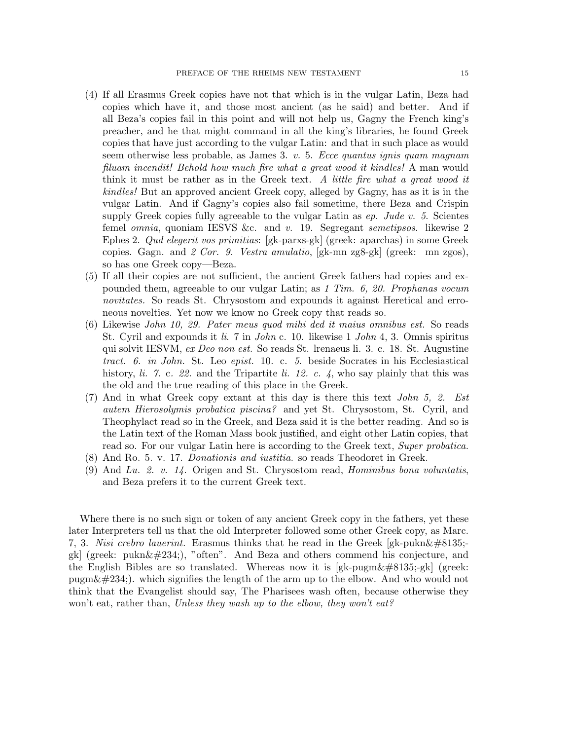- (4) If all Erasmus Greek copies have not that which is in the vulgar Latin, Beza had copies which have it, and those most ancient (as he said) and better. And if all Beza's copies fail in this point and will not help us, Gagny the French king's preacher, and he that might command in all the king's libraries, he found Greek copies that have just according to the vulgar Latin: and that in such place as would seem otherwise less probable, as James 3.  $v$ . 5. Ecce quantus ignis quam magnam filuam incendit! Behold how much fire what a great wood it kindles! A man would think it must be rather as in the Greek text. A little fire what a great wood it kindles! But an approved ancient Greek copy, alleged by Gagny, has as it is in the vulgar Latin. And if Gagny's copies also fail sometime, there Beza and Crispin supply Greek copies fully agreeable to the vulgar Latin as  $ep.$  Jude v. 5. Scientes femel *omnia*, quoniam IESVS &c. and v. 19. Segregant *semetipsos*. likewise 2 Ephes 2. Qud elegerit vos primitias: [gk-parxs-gk] (greek: aparchas) in some Greek copies. Gagn. and 2 Cor. 9. Vestra amulatio,  $[gk-m \,zgs-gk]$  (greek: mn zgos), so has one Greek copy—Beza.
- (5) If all their copies are not sufficient, the ancient Greek fathers had copies and expounded them, agreeable to our vulgar Latin; as 1 Tim. 6, 20. Prophanas vocum novitates. So reads St. Chrysostom and expounds it against Heretical and erroneous novelties. Yet now we know no Greek copy that reads so.
- (6) Likewise John 10, 29. Pater meus quod mihi ded it maius omnibus est. So reads St. Cyril and expounds it li. 7 in John c. 10. likewise 1 John 4, 3. Omnis spiritus qui solvit IESVM, ex Deo non est. So reads St. lrenaeus li. 3. c. 18. St. Augustine tract. 6. in John. St. Leo epist. 10. c. 5. beside Socrates in his Ecclesiastical history, li. 7. c. 22. and the Tripartite li. 12. c. 4, who say plainly that this was the old and the true reading of this place in the Greek.
- (7) And in what Greek copy extant at this day is there this text John 5, 2. Est autem Hierosolymis probatica piscina? and yet St. Chrysostom, St. Cyril, and Theophylact read so in the Greek, and Beza said it is the better reading. And so is the Latin text of the Roman Mass book justified, and eight other Latin copies, that read so. For our vulgar Latin here is according to the Greek text, Super probatica.
- (8) And Ro. 5. v. 17. Donationis and iustitia. so reads Theodoret in Greek.
- (9) And Lu. 2. v. 14. Origen and St. Chrysostom read, Hominibus bona voluntatis, and Beza prefers it to the current Greek text.

Where there is no such sign or token of any ancient Greek copy in the fathers, yet these later Interpreters tell us that the old Interpreter followed some other Greek copy, as Marc. 7, 3. Nisi crebro lauerint. Erasmus thinks that he read in the Greek [gk-pukn $\&\#8135;$ gk] (greek:  $\text{pukn}\&\#234$ ;), "often". And Beza and others commend his conjecture, and the English Bibles are so translated. Whereas now it is  $[gk-pugm\&\#8135;-gk]$  (greek: pugm $\&\#234$ . which signifies the length of the arm up to the elbow. And who would not think that the Evangelist should say, The Pharisees wash often, because otherwise they won't eat, rather than, Unless they wash up to the elbow, they won't eat?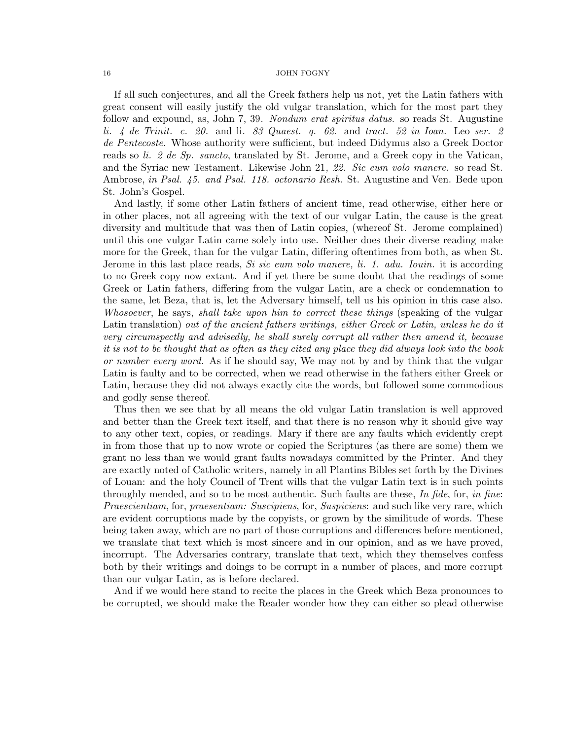If all such conjectures, and all the Greek fathers help us not, yet the Latin fathers with great consent will easily justify the old vulgar translation, which for the most part they follow and expound, as, John 7, 39. Nondum erat spiritus datus. so reads St. Augustine li. 4 de Trinit. c. 20. and li. 83 Quaest. q. 62. and tract. 52 in Ioan. Leo ser. 2 de Pentecoste. Whose authority were sufficient, but indeed Didymus also a Greek Doctor reads so li. 2 de Sp. sancto, translated by St. Jerome, and a Greek copy in the Vatican, and the Syriac new Testament. Likewise John 21, 22. Sic eum volo manere. so read St. Ambrose, in Psal. 45. and Psal. 118. octonario Resh. St. Augustine and Ven. Bede upon St. John's Gospel.

And lastly, if some other Latin fathers of ancient time, read otherwise, either here or in other places, not all agreeing with the text of our vulgar Latin, the cause is the great diversity and multitude that was then of Latin copies, (whereof St. Jerome complained) until this one vulgar Latin came solely into use. Neither does their diverse reading make more for the Greek, than for the vulgar Latin, differing oftentimes from both, as when St. Jerome in this last place reads, Si sic eum volo manere, li. 1. adu. Iouin. it is according to no Greek copy now extant. And if yet there be some doubt that the readings of some Greek or Latin fathers, differing from the vulgar Latin, are a check or condemnation to the same, let Beza, that is, let the Adversary himself, tell us his opinion in this case also. Whosoever, he says, shall take upon him to correct these things (speaking of the vulgar Latin translation) out of the ancient fathers writings, either Greek or Latin, unless he do it very circumspectly and advisedly, he shall surely corrupt all rather then amend it, because it is not to be thought that as often as they cited any place they did always look into the book or number every word. As if he should say, We may not by and by think that the vulgar Latin is faulty and to be corrected, when we read otherwise in the fathers either Greek or Latin, because they did not always exactly cite the words, but followed some commodious and godly sense thereof.

Thus then we see that by all means the old vulgar Latin translation is well approved and better than the Greek text itself, and that there is no reason why it should give way to any other text, copies, or readings. Mary if there are any faults which evidently crept in from those that up to now wrote or copied the Scriptures (as there are some) them we grant no less than we would grant faults nowadays committed by the Printer. And they are exactly noted of Catholic writers, namely in all Plantins Bibles set forth by the Divines of Louan: and the holy Council of Trent wills that the vulgar Latin text is in such points throughly mended, and so to be most authentic. Such faults are these, In fide, for, in fine: Praescientiam, for, praesentiam: Suscipiens, for, Suspiciens: and such like very rare, which are evident corruptions made by the copyists, or grown by the similitude of words. These being taken away, which are no part of those corruptions and differences before mentioned, we translate that text which is most sincere and in our opinion, and as we have proved, incorrupt. The Adversaries contrary, translate that text, which they themselves confess both by their writings and doings to be corrupt in a number of places, and more corrupt than our vulgar Latin, as is before declared.

And if we would here stand to recite the places in the Greek which Beza pronounces to be corrupted, we should make the Reader wonder how they can either so plead otherwise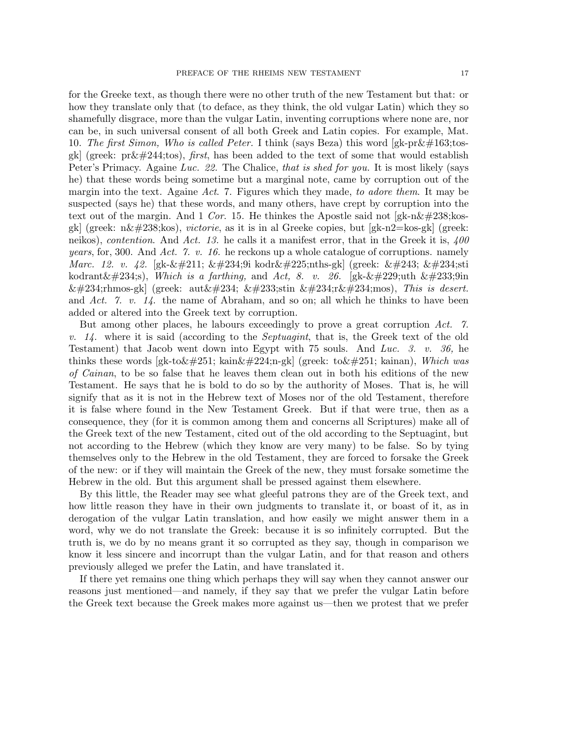for the Greeke text, as though there were no other truth of the new Testament but that: or how they translate only that (to deface, as they think, the old vulgar Latin) which they so shamefully disgrace, more than the vulgar Latin, inventing corruptions where none are, nor can be, in such universal consent of all both Greek and Latin copies. For example, Mat. 10. The first Simon, Who is called Peter. I think (says Beza) this word  $[gk-pr\&\#163;t$ osgk] (greek:  $pr\&\#244;$ tos), *first*, has been added to the text of some that would establish Peter's Primacy. Againe Luc. 22. The Chalice, that is shed for you. It is most likely (says he) that these words being sometime but a marginal note, came by corruption out of the margin into the text. Againe Act. 7. Figures which they made, to adore them. It may be suspected (says he) that these words, and many others, have crept by corruption into the text out of the margin. And 1 Cor. 15. He thinkes the Apostle said not [gk-n $\&\#238;$ kosgk] (greek:  $n\&\#238;$ kos), *victorie*, as it is in al Greeke copies, but [gk-n2=kos-gk] (greek: neikos), *contention*. And Act. 13. he calls it a manifest error, that in the Greek it is,  $400$ *years*, for, 300. And Act. 7. v. 16. he reckons up a whole catalogue of corruptions. namely *Marc.* 12. v. 42. [gk-Ó ê9i kodránths-gk] (greek: ó êsti kodrant $\&\#234$ ;s), Which is a farthing, and Act, 8. v. 26. [gk- $\&\#229$ ;uth  $\&\#233$ ;9in êrhmos-gk] (greek: autê éstin êrêmos), This is desert. and Act. 7. v.  $14$ . the name of Abraham, and so on; all which he thinks to have been added or altered into the Greek text by corruption.

But among other places, he labours exceedingly to prove a great corruption Act. 7. v.  $14$ . where it is said (according to the *Septuagint*, that is, the Greek text of the old Testament) that Jacob went down into Egypt with 75 souls. And Luc. 3. v. 36, he thinks these words [gk-to  $\&\#251$ ; kain $\&\#224$ ; n-gk] (greek: to $\&\#251$ ; kainan), Which was of Cainan, to be so false that he leaves them clean out in both his editions of the new Testament. He says that he is bold to do so by the authority of Moses. That is, he will signify that as it is not in the Hebrew text of Moses nor of the old Testament, therefore it is false where found in the New Testament Greek. But if that were true, then as a consequence, they (for it is common among them and concerns all Scriptures) make all of the Greek text of the new Testament, cited out of the old according to the Septuagint, but not according to the Hebrew (which they know are very many) to be false. So by tying themselves only to the Hebrew in the old Testament, they are forced to forsake the Greek of the new: or if they will maintain the Greek of the new, they must forsake sometime the Hebrew in the old. But this argument shall be pressed against them elsewhere.

By this little, the Reader may see what gleeful patrons they are of the Greek text, and how little reason they have in their own judgments to translate it, or boast of it, as in derogation of the vulgar Latin translation, and how easily we might answer them in a word, why we do not translate the Greek: because it is so infinitely corrupted. But the truth is, we do by no means grant it so corrupted as they say, though in comparison we know it less sincere and incorrupt than the vulgar Latin, and for that reason and others previously alleged we prefer the Latin, and have translated it.

If there yet remains one thing which perhaps they will say when they cannot answer our reasons just mentioned—and namely, if they say that we prefer the vulgar Latin before the Greek text because the Greek makes more against us—then we protest that we prefer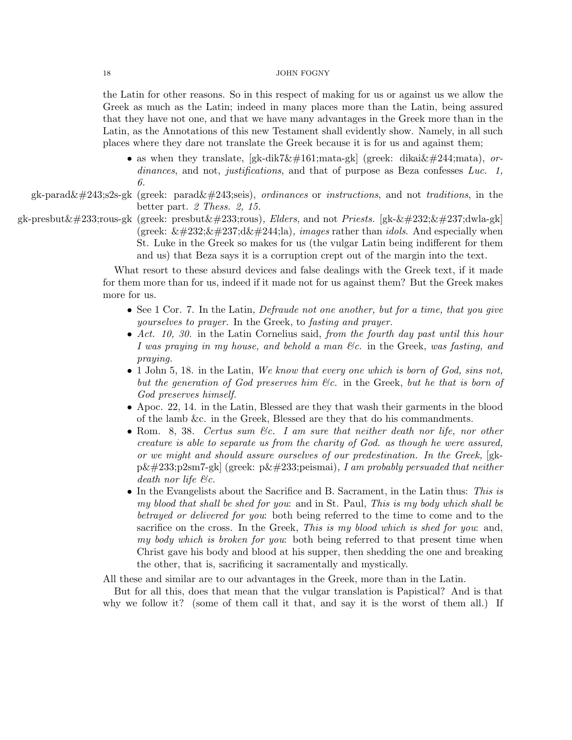the Latin for other reasons. So in this respect of making for us or against us we allow the Greek as much as the Latin; indeed in many places more than the Latin, being assured that they have not one, and that we have many advantages in the Greek more than in the Latin, as the Annotations of this new Testament shall evidently show. Namely, in all such places where they dare not translate the Greek because it is for us and against them;

• as when they translate,  $[gk\text{-}dik7\&\#161;\text{mata-}gk]$  (greek: dikai $\&\#244;\text{mata}$ ), ordinances, and not, justifications, and that of purpose as Beza confesses Luc. 1, 6.

gk-parad $\&\#243;$ s2s-gk (greek: parad $\&\#243;$ seis), *ordinances* or *instructions*, and not *traditions*, in the better part. 2 Thess. 2, 15.

gk-presbut $\&\#233$ ;rous-gk (greek: presbut $\&\#233$ ;rous), Elders, and not Priests. [gk- $\&\#232$ ; $\&\#237$ ;dwla-gk] (greek:  $\&\#232;\&\#237;\d&\#244;\ldots$ ), *images* rather than *idols*. And especially when St. Luke in the Greek so makes for us (the vulgar Latin being indifferent for them and us) that Beza says it is a corruption crept out of the margin into the text.

> What resort to these absurd devices and false dealings with the Greek text, if it made for them more than for us, indeed if it made not for us against them? But the Greek makes more for us.

- See 1 Cor. 7. In the Latin, *Defraude not one another, but for a time, that you give* yourselves to prayer. In the Greek, to fasting and prayer.
- Act. 10, 30. in the Latin Cornelius said, from the fourth day past until this hour I was praying in my house, and behold a man &c. in the Greek, was fasting, and praying.
- $\bullet$  1 John 5, 18. in the Latin, We know that every one which is born of God, sins not, but the generation of God preserves him &c. in the Greek, but he that is born of God preserves himself.
- Apoc. 22, 14. in the Latin, Blessed are they that wash their garments in the blood of the lamb &c. in the Greek, Blessed are they that do his commandments.
- Rom. 8, 38. Certus sum &c. I am sure that neither death nor life, nor other creature is able to separate us from the charity of God. as though he were assured, or we might and should assure ourselves of our predestination. In the Greek, [gk $p\&\#233;p2sm7-gk$  (greek:  $p\&\#233;peismai)$ , I am probably persuaded that neither death nor life &c.
- In the Evangelists about the Sacrifice and B. Sacrament, in the Latin thus: This is my blood that shall be shed for you: and in St. Paul, This is my body which shall be betrayed or delivered for you: both being referred to the time to come and to the sacrifice on the cross. In the Greek, This is my blood which is shed for you: and, my body which is broken for you: both being referred to that present time when Christ gave his body and blood at his supper, then shedding the one and breaking the other, that is, sacrificing it sacramentally and mystically.

All these and similar are to our advantages in the Greek, more than in the Latin.

But for all this, does that mean that the vulgar translation is Papistical? And is that why we follow it? (some of them call it that, and say it is the worst of them all.) If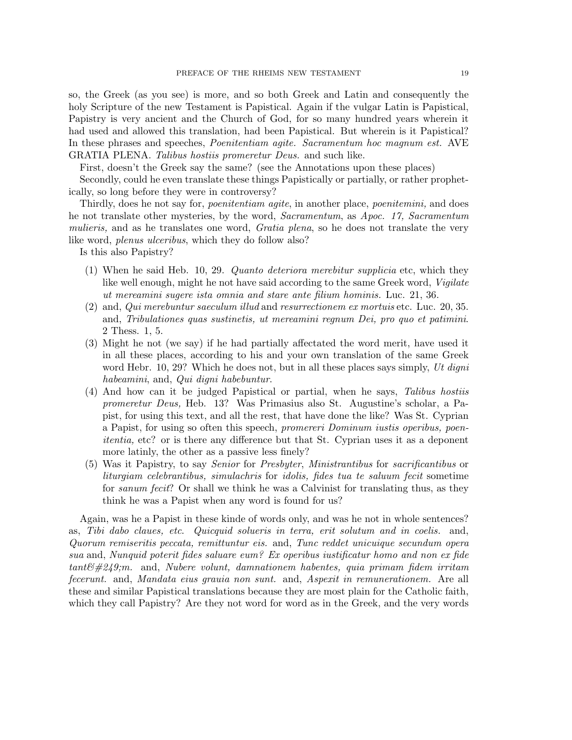so, the Greek (as you see) is more, and so both Greek and Latin and consequently the holy Scripture of the new Testament is Papistical. Again if the vulgar Latin is Papistical, Papistry is very ancient and the Church of God, for so many hundred years wherein it had used and allowed this translation, had been Papistical. But wherein is it Papistical? In these phrases and speeches, *Poenitentiam agite. Sacramentum hoc magnum est.* AVE GRATIA PLENA. Talibus hostiis promeretur Deus. and such like.

First, doesn't the Greek say the same? (see the Annotations upon these places)

Secondly, could he even translate these things Papistically or partially, or rather prophetically, so long before they were in controversy?

Thirdly, does he not say for, poenitentiam agite, in another place, poenitemini, and does he not translate other mysteries, by the word, Sacramentum, as Apoc. 17, Sacramentum mulieris, and as he translates one word, *Gratia plena*, so he does not translate the very like word, *plenus ulceribus*, which they do follow also?

Is this also Papistry?

- (1) When he said Heb. 10, 29. Quanto deteriora merebitur supplicia etc, which they like well enough, might he not have said according to the same Greek word, Vigilate ut mereamini sugere ista omnia and stare ante filium hominis. Luc. 21, 36.
- (2) and, Qui merebuntur saeculum illud and resurrectionem ex mortuis etc. Luc. 20, 35. and, Tribulationes quas sustinetis, ut mereamini regnum Dei, pro quo et patimini. 2 Thess. 1, 5.
- (3) Might he not (we say) if he had partially affectated the word merit, have used it in all these places, according to his and your own translation of the same Greek word Hebr. 10, 29? Which he does not, but in all these places says simply, Ut digni habeamini, and, Qui digni habebuntur.
- (4) And how can it be judged Papistical or partial, when he says, Talibus hostiis promeretur Deus, Heb. 13? Was Primasius also St. Augustine's scholar, a Papist, for using this text, and all the rest, that have done the like? Was St. Cyprian a Papist, for using so often this speech, promereri Dominum iustis operibus, poenitentia, etc? or is there any difference but that St. Cyprian uses it as a deponent more latinly, the other as a passive less finely?
- (5) Was it Papistry, to say Senior for Presbyter, Ministrantibus for sacrificantibus or liturgiam celebrantibus, simulachris for idolis, fides tua te saluum fecit sometime for *sanum fecit*? Or shall we think he was a Calvinist for translating thus, as they think he was a Papist when any word is found for us?

Again, was he a Papist in these kinde of words only, and was he not in whole sentences? as, Tibi dabo claues, etc. Quicquid solueris in terra, erit solutum and in coelis. and, Quorum remiseritis peccata, remittuntur eis. and, Tunc reddet unicuique secundum opera sua and, Nunquid poterit fides saluare eum? Ex operibus iustificatur homo and non ex fide  $tant\mathcal{C#249}$ ; m. and, Nubere volunt, damnationem habentes, quia primam fidem irritam fecerunt. and, Mandata eius grauia non sunt. and, Aspexit in remunerationem. Are all these and similar Papistical translations because they are most plain for the Catholic faith, which they call Papistry? Are they not word for word as in the Greek, and the very words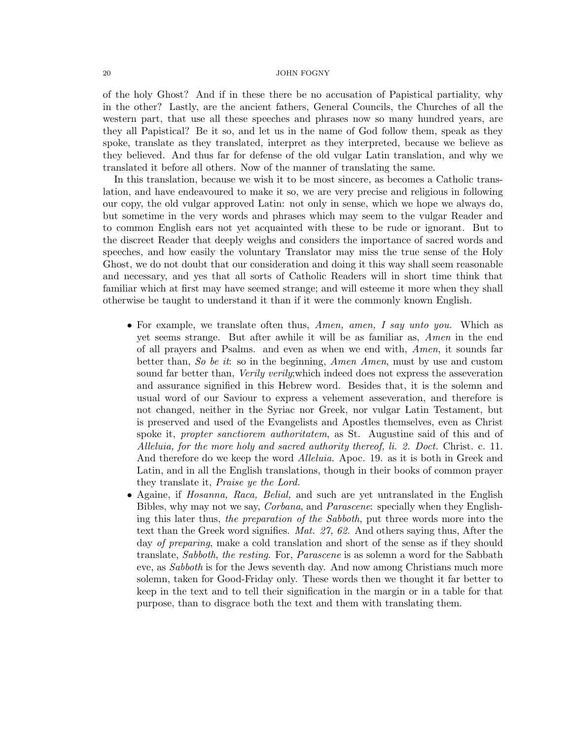of the holy Ghost? And if in these there be no accusation of Papistical partiality, why in the other? Lastly, are the ancient fathers, General Councils, the Churches of all the western part, that use all these speeches and phrases now so many hundred years, are they all Papistical? Be it so, and let us in the name of God follow them, speak as they spoke, translate as they translated, interpret as they interpreted, because we believe as they believed. And thus far for defense of the old vulgar Latin translation, and why we translated it before all others. Now of the manner of translating the same.

In this translation, because we wish it to be most sincere, as becomes a Catholic translation, and have endeavoured to make it so, we are very precise and religious in following our copy, the old vulgar approved Latin: not only in sense, which we hope we always do, but sometime in the very words and phrases which may seem to the vulgar Reader and to common English ears not yet acquainted with these to be rude or ignorant. But to the discreet Reader that deeply weighs and considers the importance of sacred words and speeches, and how easily the voluntary Translator may miss the true sense of the Holy Ghost, we do not doubt that our consideration and doing it this way shall seem reasonable and necessary, and yes that all sorts of Catholic Readers will in short time think that familiar which at first may have seemed strange; and will esteeme it more when they shall otherwise be taught to understand it than if it were the commonly known English.

- For example, we translate often thus, Amen, amen, I say unto you. Which as yet seems strange. But after awhile it will be as familiar as, Amen in the end of all prayers and Psalms. and even as when we end with, Amen, it sounds far better than, So be it: so in the beginning, Amen Amen, must by use and custom sound far better than, *Verily verily*; which indeed does not express the asseveration and assurance signified in this Hebrew word. Besides that, it is the solemn and usual word of our Saviour to express a vehement asseveration, and therefore is not changed, neither in the Syriac nor Greek, nor vulgar Latin Testament, but is preserved and used of the Evangelists and Apostles themselves, even as Christ spoke it, *propter sanctiorem authoritatem*, as St. Augustine said of this and of Alleluia, for the more holy and sacred authority thereof, li. 2. Doct. Christ. c. 11. And therefore do we keep the word *Alleluia*. Apoc. 19. as it is both in Greek and Latin, and in all the English translations, though in their books of common prayer they translate it, Praise ye the Lord.
- Againe, if *Hosanna*, *Raca*, *Belial*, and such are yet untranslated in the English Bibles, why may not we say, Corbana, and Parascene: specially when they Englishing this later thus, the preparation of the Sabboth, put three words more into the text than the Greek word signifies. Mat. 27, 62. And others saying thus, After the day of preparing, make a cold translation and short of the sense as if they should translate, Sabboth, the resting. For, Parascene is as solemn a word for the Sabbath eve, as Sabboth is for the Jews seventh day. And now among Christians much more solemn, taken for Good-Friday only. These words then we thought it far better to keep in the text and to tell their signification in the margin or in a table for that purpose, than to disgrace both the text and them with translating them.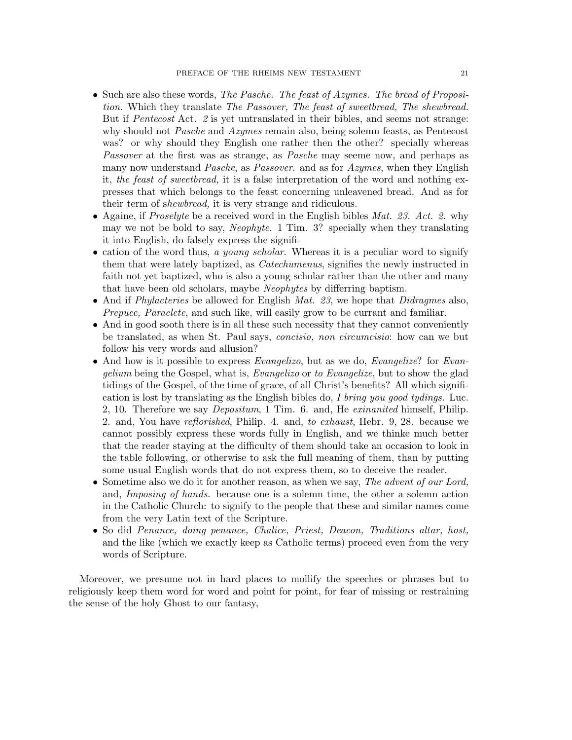- Such are also these words, The Pasche. The feast of Azymes. The bread of Proposition. Which they translate The Passover, The feast of sweetbread, The shewbread. But if Pentecost Act. 2 is yet untranslated in their bibles, and seems not strange: why should not *Pasche* and *Azymes* remain also, being solemn feasts, as Pentecost was? or why should they English one rather then the other? specially whereas Passover at the first was as strange, as Pasche may seeme now, and perhaps as many now understand *Pasche*, as *Passover*. and as for  $Azymes$ , when they English it, the feast of sweetbread, it is a false interpretation of the word and nothing expresses that which belongs to the feast concerning unleavened bread. And as for their term of shewbread, it is very strange and ridiculous.
- Againe, if *Proselyte* be a received word in the English bibles  $Mat. 23. Act. 2. why$ may we not be bold to say, *Neophyte.* 1 Tim. 3? specially when they translating it into English, do falsely express the signifi-
- cation of the word thus, a young scholar. Whereas it is a peculiar word to signify them that were lately baptized, as *Catechumenus*, signifies the newly instructed in faith not yet baptized, who is also a young scholar rather than the other and many that have been old scholars, maybe Neophytes by differring baptism.
- And if *Phylacteries* be allowed for English *Mat.* 23, we hope that *Didragmes* also, Prepuce, Paraclete, and such like, will easily grow to be currant and familiar.
- And in good sooth there is in all these such necessity that they cannot conveniently be translated, as when St. Paul says, concisio, non circumcisio: how can we but follow his very words and allusion?
- And how is it possible to express *Evangelizo*, but as we do, *Evangelize*? for *Evan*gelium being the Gospel, what is, Evangelizo or to Evangelize, but to show the glad tidings of the Gospel, of the time of grace, of all Christ's benefits? All which signification is lost by translating as the English bibles do, I bring you good tydings. Luc. 2, 10. Therefore we say Depositum, 1 Tim. 6. and, He exinanited himself, Philip. 2. and, You have reflorished, Philip. 4. and, to exhaust, Hebr. 9, 28. because we cannot possibly express these words fully in English, and we thinke much better that the reader staying at the difficulty of them should take an occasion to look in the table following, or otherwise to ask the full meaning of them, than by putting some usual English words that do not express them, so to deceive the reader.
- Sometime also we do it for another reason, as when we say, The advent of our Lord, and, Imposing of hands. because one is a solemn time, the other a solemn action in the Catholic Church: to signify to the people that these and similar names come from the very Latin text of the Scripture.
- So did Penance, doing penance, Chalice, Priest, Deacon, Traditions altar, host, and the like (which we exactly keep as Catholic terms) proceed even from the very words of Scripture.

Moreover, we presume not in hard places to mollify the speeches or phrases but to religiously keep them word for word and point for point, for fear of missing or restraining the sense of the holy Ghost to our fantasy,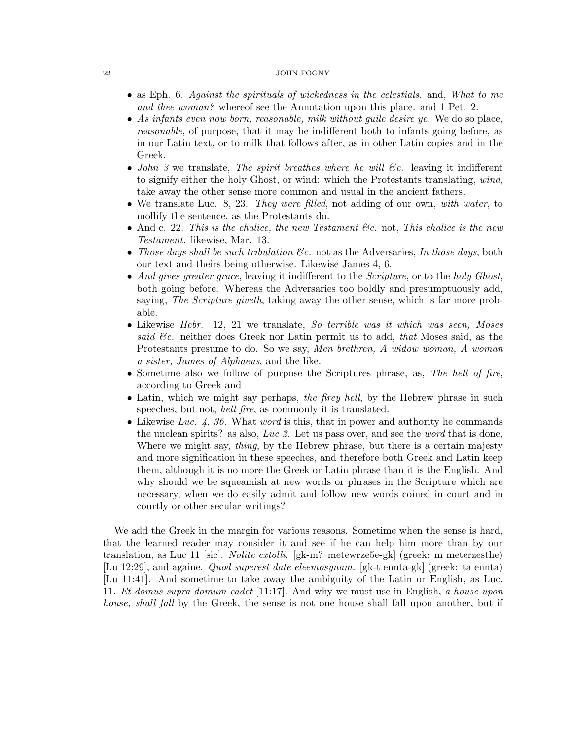- as Eph. 6. Against the spirituals of wickedness in the celestials. and, What to me and thee woman? whereof see the Annotation upon this place. and 1 Pet. 2.
- As infants even now born, reasonable, milk without quile desire ye. We do so place, reasonable, of purpose, that it may be indifferent both to infants going before, as in our Latin text, or to milk that follows after, as in other Latin copies and in the Greek.
- John 3 we translate, The spirit breathes where he will  $\mathcal{C}c$ . leaving it indifferent to signify either the holy Ghost, or wind: which the Protestants translating, wind, take away the other sense more common and usual in the ancient fathers.
- We translate Luc. 8, 23. They were filled, not adding of our own, with water, to mollify the sentence, as the Protestants do.
- And c. 22. This is the chalice, the new Testament  $\mathcal{C}_c$  not, This chalice is the new Testament. likewise, Mar. 13.
- Those days shall be such tribulation  $\mathcal{C}\mathcal{C}$ . not as the Adversaries, In those days, both our text and theirs being otherwise. Likewise James 4, 6.
- And gives greater grace, leaving it indifferent to the Scripture, or to the holy Ghost, both going before. Whereas the Adversaries too boldly and presumptuously add, saying, The Scripture giveth, taking away the other sense, which is far more probable.
- Likewise Hebr. 12, 21 we translate, So terrible was it which was seen, Moses said  $\mathcal{C}\mathcal{C}$ . neither does Greek nor Latin permit us to add, that Moses said, as the Protestants presume to do. So we say, Men brethren, A widow woman, A woman a sister, James of Alphaeus, and the like.
- Sometime also we follow of purpose the Scriptures phrase, as, The hell of fire, according to Greek and
- Latin, which we might say perhaps, the firey hell, by the Hebrew phrase in such speeches, but not, *hell fire*, as commonly it is translated.
- Likewise Luc. 4, 36. What word is this, that in power and authority he commands the unclean spirits? as also, Luc 2. Let us pass over, and see the word that is done, Where we might say, *thing*, by the Hebrew phrase, but there is a certain majesty and more signification in these speeches, and therefore both Greek and Latin keep them, although it is no more the Greek or Latin phrase than it is the English. And why should we be squeamish at new words or phrases in the Scripture which are necessary, when we do easily admit and follow new words coined in court and in courtly or other secular writings?

We add the Greek in the margin for various reasons. Sometime when the sense is hard, that the learned reader may consider it and see if he can help him more than by our translation, as Luc 11 [sic]. Nolite extolli. [gk-m? metewrze5e-gk] (greek: m meterzesthe) [Lu 12:29], and againe. Quod superest date eleemosynam. [gk-t ennta-gk] (greek: ta ennta) [Lu 11:41]. And sometime to take away the ambiguity of the Latin or English, as Luc. 11. Et domus supra domum cadet [11:17]. And why we must use in English, a house upon house, shall fall by the Greek, the sense is not one house shall fall upon another, but if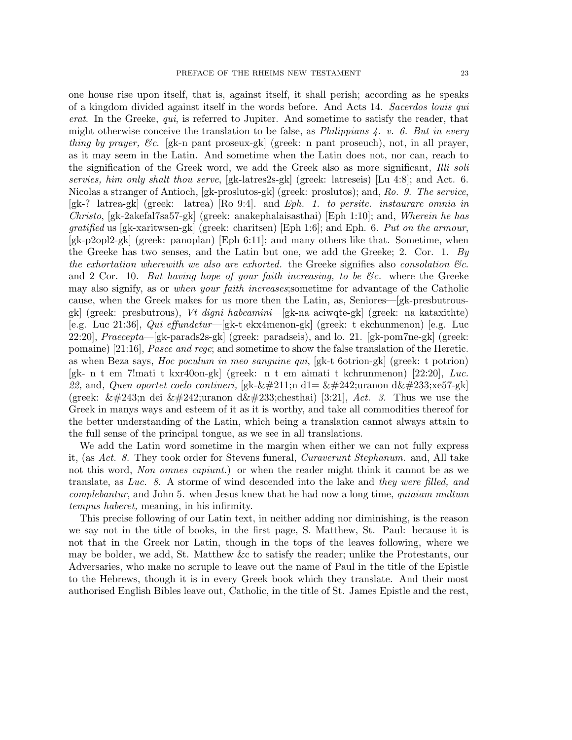one house rise upon itself, that is, against itself, it shall perish; according as he speaks of a kingdom divided against itself in the words before. And Acts 14. Sacerdos louis qui erat. In the Greeke, qui, is referred to Jupiter. And sometime to satisfy the reader, that might otherwise conceive the translation to be false, as *Philippians 4. v. 6. But in every* thing by prayer, &c. [gk-n pant proseux-gk] (greek: n pant proseuch), not, in all prayer, as it may seem in the Latin. And sometime when the Latin does not, nor can, reach to the signification of the Greek word, we add the Greek also as more significant, Illi soli servies, him only shalt thou serve, [gk-latres2s-gk] (greek: latreseis) [Lu 4:8]; and Act. 6. Nicolas a stranger of Antioch, [gk-proslutos-gk] (greek: proslutos); and, Ro. 9. The service, [gk-? latrea-gk] (greek: latrea) [Ro 9:4]. and Eph. 1. to persite. instaurare omnia in Christo, [gk-2akefal7sa57-gk] (greek: anakephalaisasthai) [Eph 1:10]; and, Wherein he has gratified us [gk-xaritwsen-gk] (greek: charitsen) [Eph 1:6]; and Eph. 6. Put on the armour, [gk-p2opl2-gk] (greek: panoplan) [Eph 6:11]; and many others like that. Sometime, when the Greeke has two senses, and the Latin but one, we add the Greeke; 2. Cor. 1. By the exhortation wherewith we also are exhorted. the Greeke signifies also consolation  $\mathcal{C}_c$ . and 2 Cor. 10. But having hope of your faith increasing, to be  $\mathcal{C}_c$  where the Greeke may also signify, as or when your faith increases;sometime for advantage of the Catholic cause, when the Greek makes for us more then the Latin, as, Seniores—[gk-presbutrousgk] (greek: presbutrous), Vt digni habeamini—[gk-na aciwqte-gk] (greek: na kataxithte) [e.g. Luc 21:36], Qui effundetur—[gk-t ekx4menon-gk] (greek: t ekchunmenon) [e.g. Luc  $22:20$ ,  $Praecepta$  [gk-parads2s-gk] (greek: paradseis), and lo. 21. [gk-pom7ne-gk] (greek: pomaine) [21:16], *Pasce and rege*; and sometime to show the false translation of the Heretic. as when Beza says, Hoc poculum in meo sanguine qui, [gk-t 6otrion-gk] (greek: t potrion) [gk- n t em 7!mati t kxr40on-gk] (greek: n t em aimati t kchrunmenon) [22:20], Luc. 22, and, Quen oportet coelo contineri, [gk-Ón d1=  $\&\#242$ ; uranon d $\&\#233$ ; xe57-gk] (greek:  $\&\#243;$ n dei  $\&\#242;$ uranon d $\&\#233;$ chesthai) [3:21], Act. 3. Thus we use the Greek in manys ways and esteem of it as it is worthy, and take all commodities thereof for the better understanding of the Latin, which being a translation cannot always attain to the full sense of the principal tongue, as we see in all translations.

We add the Latin word sometime in the margin when either we can not fully express it, (as Act. 8. They took order for Stevens funeral, Curaverunt Stephanum. and, All take not this word, Non omnes capiunt.) or when the reader might think it cannot be as we translate, as Luc. 8. A storme of wind descended into the lake and they were filled, and complebantur, and John 5. when Jesus knew that he had now a long time, quiaiam multum tempus haberet, meaning, in his infirmity.

This precise following of our Latin text, in neither adding nor diminishing, is the reason we say not in the title of books, in the first page, S. Matthew, St. Paul: because it is not that in the Greek nor Latin, though in the tops of the leaves following, where we may be bolder, we add, St. Matthew &c to satisfy the reader; unlike the Protestants, our Adversaries, who make no scruple to leave out the name of Paul in the title of the Epistle to the Hebrews, though it is in every Greek book which they translate. And their most authorised English Bibles leave out, Catholic, in the title of St. James Epistle and the rest,